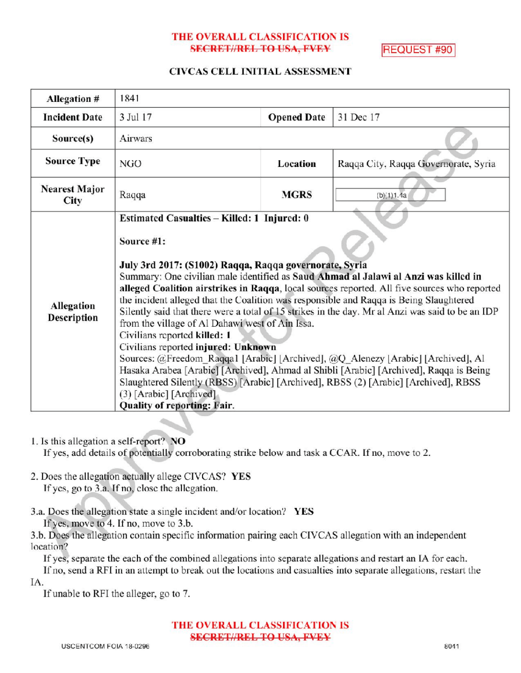#### THE OVERALL CLASSIFICATION IS SECRET//REL TO USA, FVEY REQUEST #90

## CIVCAS CELL INITIAL ASSESSMENT

| Allegation #                 | 1841                                                                                                                                                                                                                                                                                                                                                                                                                                                                                                                                                                                                                                                                                                                                                                                                                                                                                                                                                              |                    |                                      |
|------------------------------|-------------------------------------------------------------------------------------------------------------------------------------------------------------------------------------------------------------------------------------------------------------------------------------------------------------------------------------------------------------------------------------------------------------------------------------------------------------------------------------------------------------------------------------------------------------------------------------------------------------------------------------------------------------------------------------------------------------------------------------------------------------------------------------------------------------------------------------------------------------------------------------------------------------------------------------------------------------------|--------------------|--------------------------------------|
| <b>Incident Date</b>         | 3 Jul 17                                                                                                                                                                                                                                                                                                                                                                                                                                                                                                                                                                                                                                                                                                                                                                                                                                                                                                                                                          | <b>Opened Date</b> | 31 Dec 17                            |
| Source(s)                    | Airwars                                                                                                                                                                                                                                                                                                                                                                                                                                                                                                                                                                                                                                                                                                                                                                                                                                                                                                                                                           |                    |                                      |
| <b>Source Type</b>           | NGO                                                                                                                                                                                                                                                                                                                                                                                                                                                                                                                                                                                                                                                                                                                                                                                                                                                                                                                                                               | Location           | Raqqa City, Raqqa Governorate, Syria |
| <b>Nearest Major</b><br>City | Raqqa                                                                                                                                                                                                                                                                                                                                                                                                                                                                                                                                                                                                                                                                                                                                                                                                                                                                                                                                                             | <b>MGRS</b>        | (b)(1)1.4a                           |
| Allegation<br>Description    | Estimated Casualties - Killed: 1 Injured: 0<br>Source #1:<br>July 3rd 2017: (S1002) Raqqa, Raqqa governorate, Syria<br>Summary: One civilian male identified as Saud Ahmad al Jalawi al Anzi was killed in<br>alleged Coalition airstrikes in Raqqa, local sources reported. All five sources who reported<br>the incident alleged that the Coalition was responsible and Raqqa is Being Slaughtered<br>Silently said that there were a total of 15 strikes in the day. Mr al Anzi was said to be an IDP<br>from the village of Al Dahawi west of Ain Issa.<br>Civilians reported killed: 1<br>Civilians reported injured: Unknown<br>Sources: @Freedom Raqqa1 [Arabic] [Archived], @Q Alenezy [Arabic] [Archived], Al<br>Hasaka Arabea [Arabic] [Archived], Ahmad al Shibli [Arabic] [Archived], Raqqa is Being<br>Slaughtered Silently (RBSS) [Arabic] [Archived], RBSS (2) [Arabic] [Archived], RBSS<br>(3) [Arabic] [Archived]<br>Quality of reporting: Fair. |                    |                                      |

1. Is this allegation a self-report? NO

If yes, add details of potentially corroborating strike below and task a CCAR. If no, move to 2.

- 2. Does the allegation actually allege CIVCAS? YES If yes, go to  $3.a$ . If no, close the allegation.
- 3.a. Does the allegation state a single incident and/or location? YES If yes, move to 4. If no, move to 3.b.

3.b. Does the allegation contain specific information pairing each CIVCAS allegation with an independent location?

If yes, separate the each of the combined allegations into separate allegations and restart an IA for each. If no, send a RFI in an attempt to break out the locations and casualties into separate allegations, restart the IA

If unable to RFI the alleger, go to 7.

THE OVERALL CLASSIFICATION IS SECRET//REL TO USA, FVEY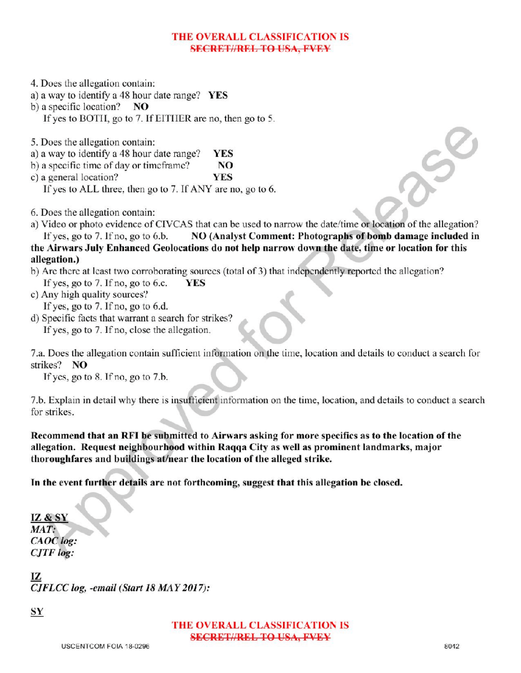## THE OVERALL CLASSIFICATION IS SECRETIAREL TO USA, EVEY

4. Does the allegation contain:

a) <sup>a</sup> way to identify <sup>a</sup> 48 hour date range? YES

b) a specific location?  $NO$ 

If yes to BOTH, go to 7. If EITHER are no, then go to 5.

5. Does the allegation contain:

a) <sup>a</sup> way to identify <sup>a</sup> 48 hour date range? YES

b) a specific time of day or timeframe?  $NQ$ 

c) a general location? YES

If yes to ALL three, then go to 7. If ANY are no, go to 6.

6. Does the allegation contain:

a) Video or photo evidence of CIVCAS that can be used to narrow the date/ time or location of the allegation? If yes, go to 7. If no, go to 6.b. NO (Analyst Comment: Photographs of bomb damage included in the Airwars July Enhanced Geolocations do not help narrow down the date, time or location for this allegation.)

# b) Are there at least two corroborating sources (total of 3) that independently reported the allegation?<br>If yes, go to 7. If no, go to 6.c. **YES** If yes, go to 7. If no, go to 6.c.

c) Any high quality sources?

If yes, go to 7. If no, go to 6.d.

d) Specific facts that warrant a search for strikes? If yes, go to 7. If no, close the allegation.

7.a. Does the allegation contain sufficient information on the time, location and details to conduct a search for

strikes? NO If yes, go to  $8$ . If no, go to  $7.b$ .

7.b. Explain in detail why there is insufficient information on the time, location, and details to conduct a search for strikes.

Recommend that an RFIbe submitted to Airwars asking for more specifics as to the location of the allegation. Request neighbourhood within Raqqa City as well as prominent landmarks, major thoroughfares and buildings at/near the location of the alleged strike.

In the event further details are not forthcoming, suggest that this allegation be closed.

IZ & SY MAT: CAOC log: CJTF log

IZ CJFLCC log, -email (Start 18 MAY 2017):

SY

THE OVERALL CLASSIFICATION IS SECRET//REL TO USA, FVEY